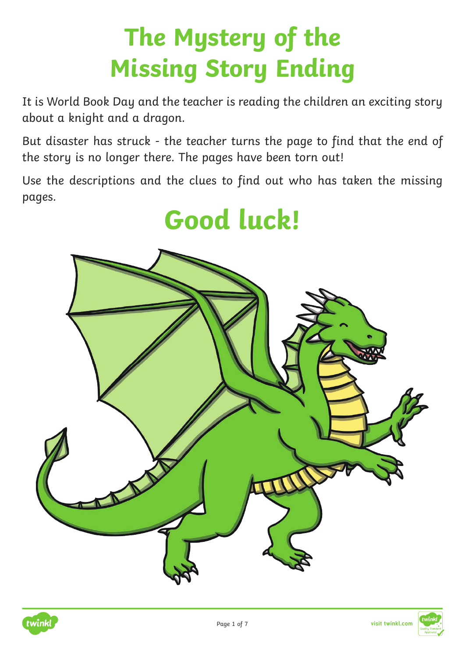# **The Mystery of the Missing Story Ending**

It is World Book Day and the teacher is reading the children an exciting story about a knight and a dragon.

But disaster has struck - the teacher turns the page to find that the end of the story is no longer there. The pages have been torn out!

Use the descriptions and the clues to find out who has taken the missing pages.

## **Good luck!**



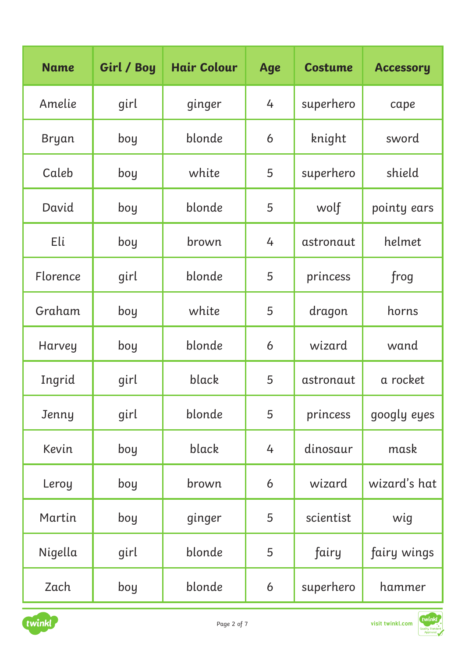| <b>Name</b>  | Girl / Boy | <b>Hair Colour</b> | Age | <b>Costume</b> | <b>Accessory</b> |
|--------------|------------|--------------------|-----|----------------|------------------|
| Amelie       | girl       | ginger             | 4   | superhero      | cape             |
| <b>Bryan</b> | boy        | blonde             | 6   | knight         | sword            |
| Caleb        | boy        | white              | 5   | superhero      | shield           |
| David        | boy        | blonde             | 5   | wolf           | pointy ears      |
| Eli          | boy        | brown              | 4   | astronaut      | helmet           |
| Florence     | girl       | blonde             | 5   | princess       | frog             |
| Graham       | boy        | white              | 5   | dragon         | horns            |
| Harvey       | boy        | blonde             | 6   | wizard         | wand             |
| Ingrid       | girl       | black              | 5   | astronaut      | a rocket         |
| Jenny        | girl       | blonde             | 5   | princess       | googly eyes      |
| Kevin        | boy        | black              | 4   | dinosaur       | mask             |
| Leroy        | boy        | brown              | 6   | wizard         | wizard's hat     |
| Martin       | boy        | ginger             | 5   | scientist      | wig              |
| Nigella      | girl       | blonde             | 5   | fairy          | fairy wings      |
| Zach         | boy        | blonde             | 6   | superhero      | hammer           |

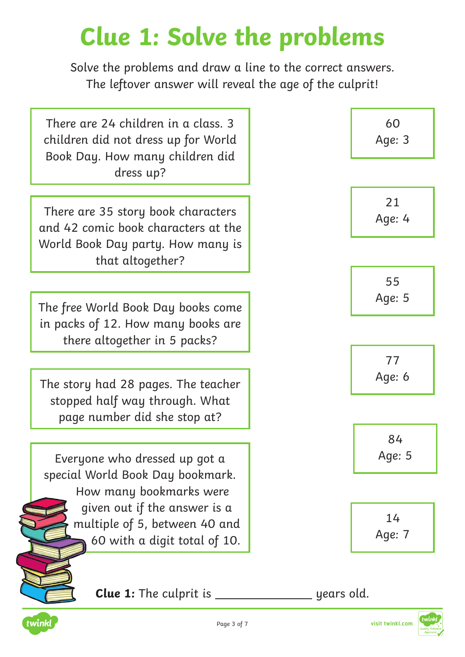## **Clue 1: Solve the problems**

Solve the problems and draw a line to the correct answers. The leftover answer will reveal the age of the culprit!

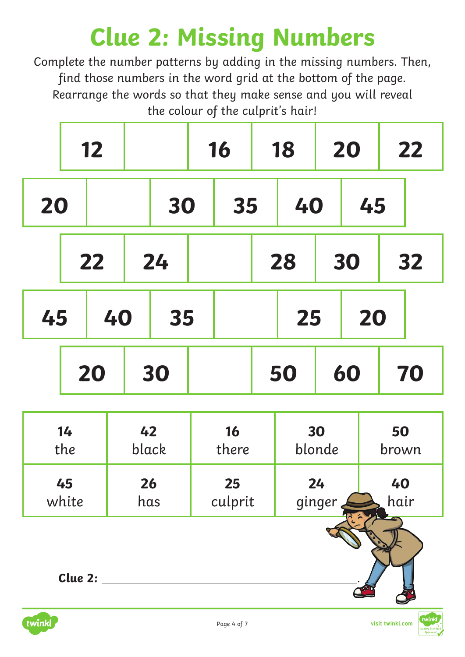# **Clue 2: Missing Numbers**

Complete the number patterns by adding in the missing numbers. Then, find those numbers in the word grid at the bottom of the page. Rearrange the words so that they make sense and you will reveal the colour of the culprit's hair!

|    | 12 |    | 16 | 18 | 20 | 22 |
|----|----|----|----|----|----|----|
| 20 |    | 30 | 35 | 40 | 45 |    |
|    | 22 | 24 |    | 28 | 30 | 32 |
| 45 | 40 | 35 |    | 25 | 20 |    |
|    | 20 | 30 |    | 50 | 60 | 70 |

| 14      | 42    | <b>16</b> | 30     | 50    |
|---------|-------|-----------|--------|-------|
| the     | black | there     | blonde | brown |
| 45      | 26    | 25        | 24     | 40    |
| white   | has   | culprit   | ginger | hair  |
| Clue 2: |       |           |        |       |

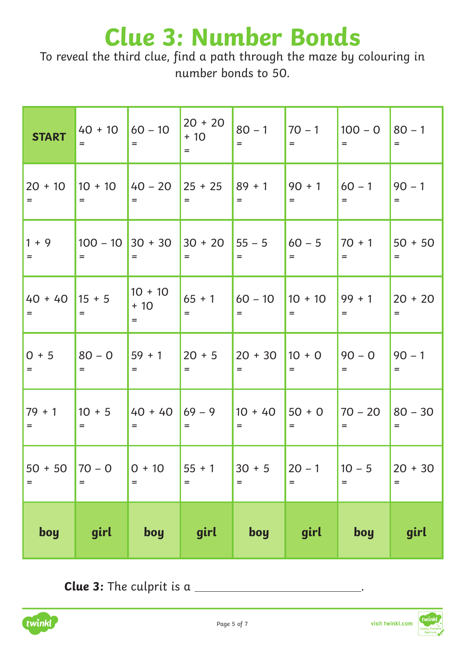#### **Clue 3: Number Bonds**

To reveal the third clue, find a path through the maze by colouring in number bonds to 50.

| <b>START</b>      | $40 + 10$<br>$=$ | $160 - 10$<br>$=$         | $20 + 20$<br>$+10$<br>$=$ | $80 - 1$<br>$=$  | $70 - 1$<br>$=$   | $100 - 0$<br>$=$ | $80 - 1$<br>$=$  |
|-------------------|------------------|---------------------------|---------------------------|------------------|-------------------|------------------|------------------|
| $20 + 10$         | $10 + 10$        | $140 - 20$                | $25 + 25$                 | $89 + 1$         | $90 + 1$          | $60 - 1$         | $90 - 1$         |
| $=$               | $=$              | $=$                       | $=$                       | $=$              | $=$               | $=$              | $=$              |
| $1 + 9$           | $100 - 10$       | $30 + 30$                 | $30 + 20$                 | $55 - 5$         | $60 - 5$          | $70 + 1$         | $50 + 50$        |
| $=$               | $=$              | $=$                       | $=$                       | $=$              | $=$               | $=$              | $=$              |
| $40 + 40$<br>$=$  | $15 + 5$<br>$=$  | $10 + 10$<br>$+10$<br>$=$ | $65 + 1$<br>$=$           | $60 - 10$<br>$=$ | $10 + 10$<br>$=$  | $99 + 1$<br>$=$  | $20 + 20$<br>$=$ |
| $0 + 5$           | $80 - 0$         | $59 + 1$                  | $20 + 5$                  | $20 + 30$        | $10 + 0$          | $90 - 0$         | $90 - 1$         |
| $=$               | $=$              | $=$                       | $=$                       | $=$              | $=$               | $=$              | $=$              |
| $79 + 1$          | $10 + 5$         | $40 + 40$                 | $69 - 9$                  | $10 + 40$        | $50 + 0$          | $70 - 20$        | $80 - 30$        |
| $=$               | $=$              | $=$                       | $=$                       | $=$              | $=$               | $=$              | $=$              |
| $50 + 50$         | $70 - 0$         | $0 + 10$                  | $55 + 1$                  | $30 + 5$         | $20 - 1$          | $10 - 5$         | $20 + 30$        |
| $\qquad \qquad =$ | $=$              | $=$                       | $=$                       | $=$              | $\qquad \qquad =$ | $=$              | $=$              |
| boy               | girl             | boy                       | girl                      | boy              | girl              | boy              | girl             |

**Clue 3:** The culprit is a \_\_\_\_\_\_\_

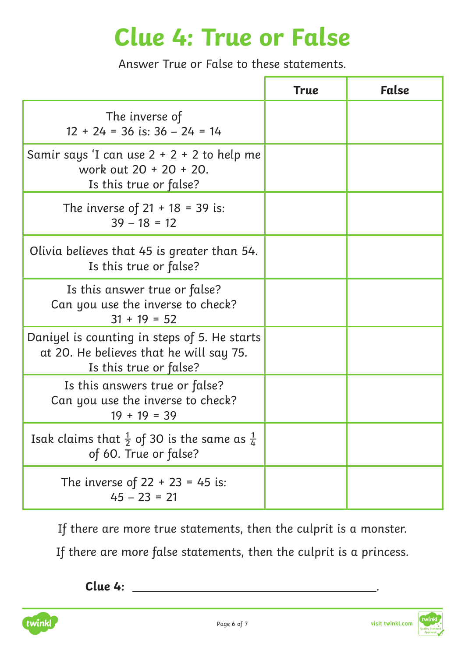#### **Clue 4: True or False**

Answer True or False to these statements.

|                                                                                                                   | <b>True</b> | False |
|-------------------------------------------------------------------------------------------------------------------|-------------|-------|
| The inverse of<br>$12 + 24 = 36$ is: $36 - 24 = 14$                                                               |             |       |
| Samir says 'I can use $2 + 2 + 2$ to help me<br>work out 20 + 20 + 20.<br>Is this true or false?                  |             |       |
| The inverse of $21 + 18 = 39$ is:<br>$39 - 18 = 12$                                                               |             |       |
| Olivia believes that 45 is greater than 54.<br>Is this true or false?                                             |             |       |
| Is this answer true or false?<br>Can you use the inverse to check?<br>$31 + 19 = 52$                              |             |       |
| Daniyel is counting in steps of 5. He starts<br>at 20. He believes that he will say 75.<br>Is this true or false? |             |       |
| Is this answers true or false?<br>Can you use the inverse to check?<br>$19 + 19 = 39$                             |             |       |
| Isak claims that $\frac{1}{2}$ of 30 is the same as $\frac{1}{4}$<br>of 60. True or false?                        |             |       |
| The inverse of $22 + 23 = 45$ is:<br>$45 - 23 = 21$                                                               |             |       |

If there are more true statements, then the culprit is a monster.

If there are more false statements, then the culprit is a princess.

**Clue 4:** .

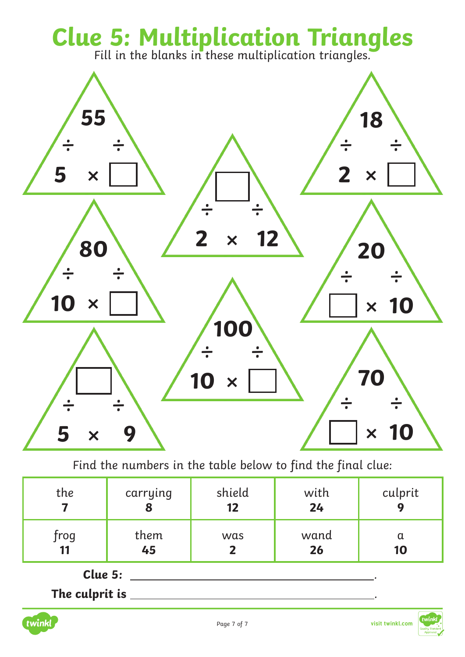# **Clue 5: Multiplication Triangles**<br>Fill in the blanks in these multiplication triangles.



Find the numbers in the table below to find the final clue:

| the               | carrying   | shield | with       | culprit        |
|-------------------|------------|--------|------------|----------------|
|                   | О          | 12     | 24         | $\overline{q}$ |
| frog<br><b>11</b> | them<br>45 | was    | wand<br>26 | α<br>10        |

**Clue 5:** .

**The culprit is** .



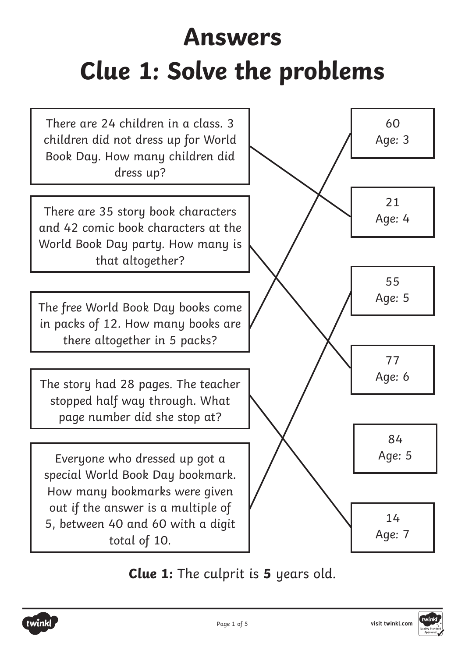# **Answers Clue 1: Solve the problems**



**Clue 1:** The culprit is **5** years old.



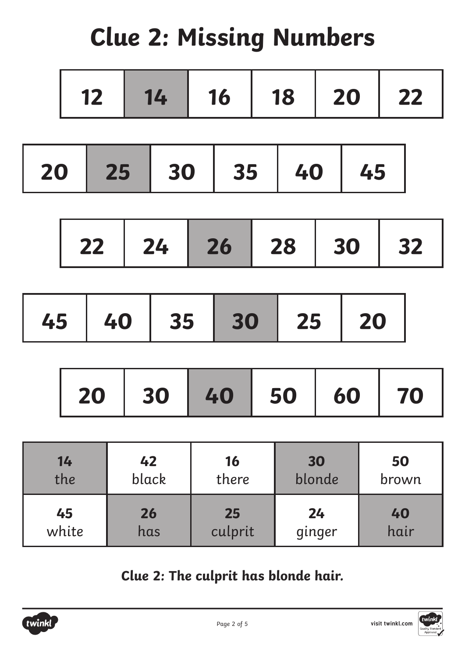# **Clue 2: Missing Numbers**

| 20 25 30 35 40 45 |  |  |  |
|-------------------|--|--|--|
|-------------------|--|--|--|

| 22   24   26   28   30   32 |  |  |  |
|-----------------------------|--|--|--|
|                             |  |  |  |

| 20   30   40   50   60   70 |  |  |  |  |
|-----------------------------|--|--|--|--|
|-----------------------------|--|--|--|--|

| 14    | 42    | 16      | 30     | 50    |
|-------|-------|---------|--------|-------|
| the   | black | there   | blonde | brown |
| 45    | 26    | 25      | 24     | 40    |
| white | has   | culprit | ginger | hair  |

**Clue 2: The culprit has blonde hair.**

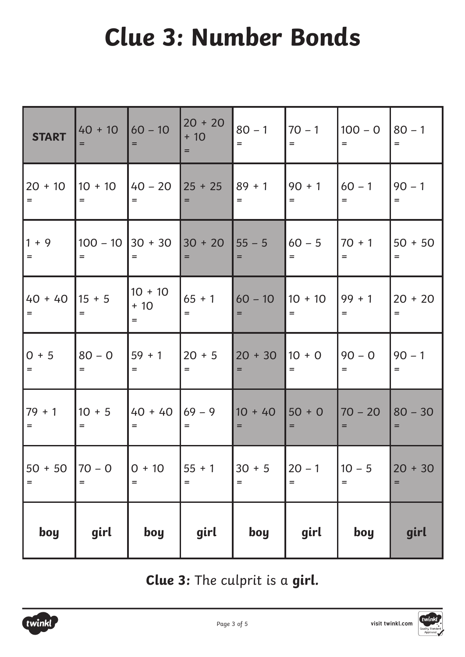# **Clue 3: Number Bonds**

| <b>START</b>     | $40 + 10$       | $160 - 10$<br>$=$         | $20 + 20$<br>$+10$<br>$=$ | $80 - 1$<br>$=$  | $70 - 1$<br>$=$   | $100 - 0$<br>$=$  | $80 - 1$<br>$=$  |
|------------------|-----------------|---------------------------|---------------------------|------------------|-------------------|-------------------|------------------|
| $20 + 10$        | $10 + 10$       | $140 - 20$                | $25 + 25$                 | $89 + 1$         | $90 + 1$          | $60 - 1$          | $90 - 1$         |
| $=$              | $=$             | $=$                       | $=$                       | $=$              | $=$               | $=$               | $=$              |
| $1 + 9$          | $100 - 10$      | $ 30 + 30 $               | $30 + 20$                 | $55 - 5$         | $60 - 5$          | $70 + 1$          | $50 + 50$        |
| $=$              | $=$             | $=$                       | $=$                       | $=$              | $=$               | $=$               | $=$              |
| $40 + 40$<br>$=$ | $15 + 5$<br>$=$ | $10 + 10$<br>$+10$<br>$=$ | $65 + 1$<br>$=$           | $60 - 10$<br>$=$ | $10 + 10$<br>$=$  | $99 + 1$<br>$=$   | $20 + 20$<br>$=$ |
| $0 + 5$          | $80 - 0$        | $159 + 1$                 | $20 + 5$                  | $20 + 30$        | $10 + 0$          | $90 - 0$          | $90 - 1$         |
| $=$              | $=$             | $=$                       | $=$                       | $=$              | $=$               | $=$               | $=$              |
| $79 + 1$         | $10 + 5$        | $140 + 40$                | $69 - 9$                  | $10 + 40$        | $50 + 0$          | $70 - 20$         | $80 - 30$        |
| $=$              | $=$             | $=$                       | $=$                       | $=$              | $=$               | $=$               | $=$              |
| $50 + 50$        | $70 - 0$        | $0 + 10$                  | $55 + 1$                  | $30 + 5$         | $20 - 1$          | $10 - 5$          | $20 + 30$        |
| $=$              | $=$             | $=$                       | $\qquad \qquad =$         | $=$              | $\qquad \qquad =$ | $\qquad \qquad =$ | $=$              |
| boy              | girl            | boy                       | girl                      | boy              | girl              | boy               | girl             |

**Clue 3:** The culprit is a **girl.**

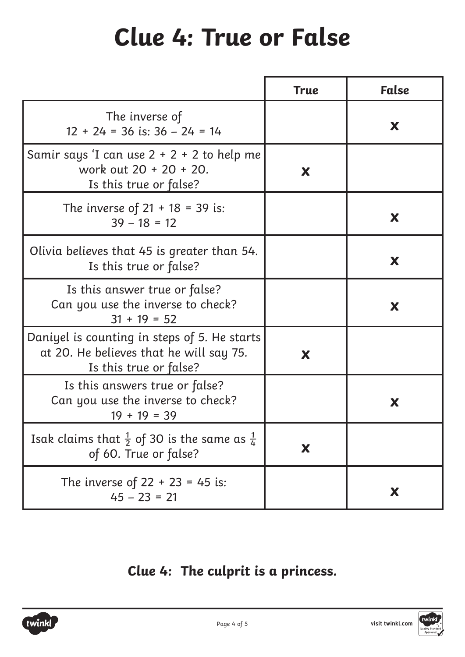#### **Clue 4: True or False**

|                                                                                                                   | <b>True</b> | False |
|-------------------------------------------------------------------------------------------------------------------|-------------|-------|
| The inverse of<br>$12 + 24 = 36$ is: $36 - 24 = 14$                                                               |             | X     |
| Samir says 'I can use $2 + 2 + 2$ to help me<br>work out 20 + 20 + 20.<br>Is this true or false?                  | X           |       |
| The inverse of $21 + 18 = 39$ is:<br>$39 - 18 = 12$                                                               |             | X     |
| Olivia believes that 45 is greater than 54.<br>Is this true or false?                                             |             | X     |
| Is this answer true or false?<br>Can you use the inverse to check?<br>$31 + 19 = 52$                              |             | X     |
| Daniyel is counting in steps of 5. He starts<br>at 20. He believes that he will say 75.<br>Is this true or false? | X           |       |
| Is this answers true or false?<br>Can you use the inverse to check?<br>$19 + 19 = 39$                             |             | X     |
| Isak claims that $\frac{1}{2}$ of 30 is the same as $\frac{1}{4}$<br>of 60. True or false?                        | X           |       |
| The inverse of $22 + 23 = 45$ is:<br>$45 - 23 = 21$                                                               |             | X     |

#### **Clue 4: The culprit is a princess.**